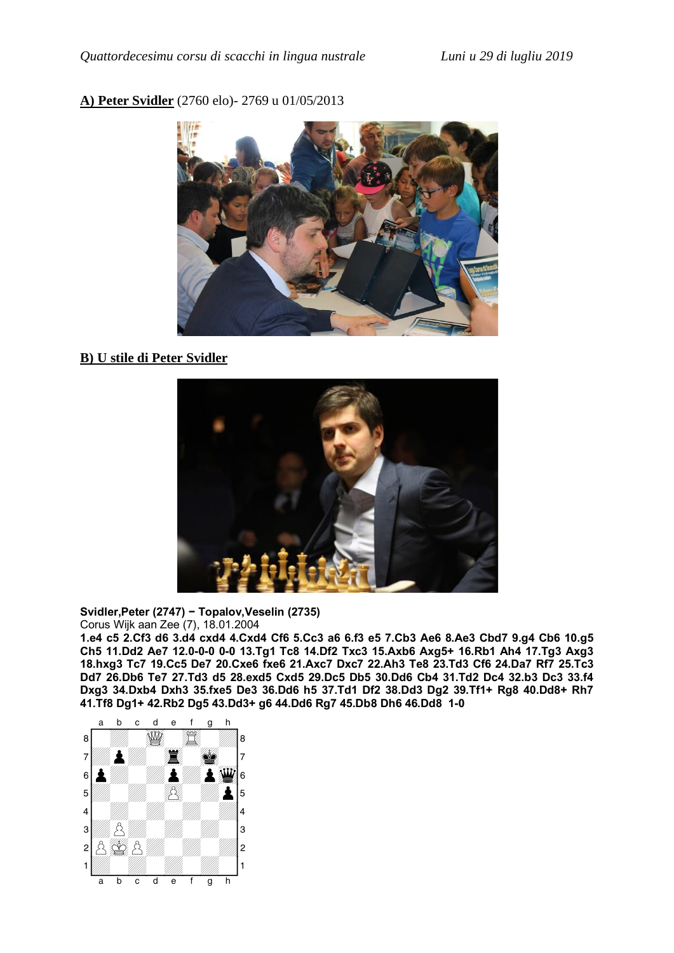## **A) Peter Svidler** (2760 elo)- 2769 u 01/05/2013



## **B) U stile di Peter Svidler**



**Svidler,Peter (2747) - Topalov,Veselin (2735)** Corus Wijk aan Zee (7), 18.01.2004

**1.e4 c5 2.Cf3 d6 3.d4 cxd4 4.Cxd4 Cf6 5.Cc3 a6 6.f3 e5 7.Cb3 Ae6 8.Ae3 Cbd7 9.g4 Cb6 10.g5 Ch5 11.Dd2 Ae7 12.0–0–0 0–0 13.Tg1 Tc8 14.Df2 Txc3 15.Axb6 Axg5+ 16.Rb1 Ah4 17.Tg3 Axg3 18.hxg3 Tc7 19.Cc5 De7 20.Cxe6 fxe6 21.Axc7 Dxc7 22.Ah3 Te8 23.Td3 Cf6 24.Da7 Rf7 25.Tc3 Dd7 26.Db6 Te7 27.Td3 d5 28.exd5 Cxd5 29.Dc5 Db5 30.Dd6 Cb4 31.Td2 Dc4 32.b3 Dc3 33.f4 Dxg3 34.Dxb4 Dxh3 35.fxe5 De3 36.Dd6 h5 37.Td1 Df2 38.Dd3 Dg2 39.Tf1+ Rg8 40.Dd8+ Rh7 41.Tf8 Dg1+ 42.Rb2 Dg5 43.Dd3+ g6 44.Dd6 Rg7 45.Db8 Dh6 46.Dd8 1–0**